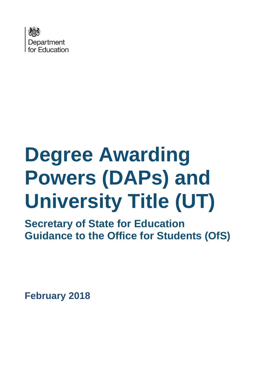

# **Degree Awarding Powers (DAPs) and University Title (UT)**

**Secretary of State for Education Guidance to the Office for Students (OfS)** 

**February 2018**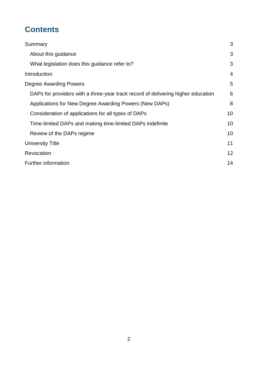# **Contents**

| Summary                                                                          | 3  |
|----------------------------------------------------------------------------------|----|
| About this guidance                                                              | 3  |
| What legislation does this guidance refer to?                                    | 3  |
| Introduction                                                                     | 4  |
| Degree Awarding Powers                                                           | 5  |
| DAPs for providers with a three-year track record of delivering higher education | 6  |
| Applications for New Degree Awarding Powers (New DAPs)                           | 8  |
| Consideration of applications for all types of DAPs                              | 10 |
| Time-limited DAPs and making time-limited DAPs indefinite                        |    |
| Review of the DAPs regime                                                        | 10 |
| University Title                                                                 | 11 |
| Revocation                                                                       |    |
| Further information                                                              |    |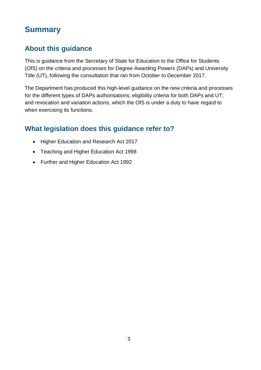# <span id="page-2-0"></span>**Summary**

## <span id="page-2-1"></span>**About this guidance**

This is guidance from the Secretary of State for Education to the Office for Students (OfS) on the criteria and processes for Degree Awarding Powers (DAPs) and University Title (UT), following the consultation that ran from October to December 2017.

The Department has produced this high-level guidance on the new criteria and processes for the different types of DAPs authorisations; eligibility criteria for both DAPs and UT; and revocation and variation actions, which the OfS is under a duty to have regard to when exercising its functions.

## <span id="page-2-2"></span>**What legislation does this guidance refer to?**

- Higher Education and Research Act 2017
- Teaching and Higher Education Act 1998
- Further and Higher Education Act 1992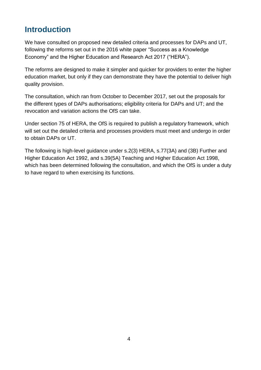# <span id="page-3-0"></span>**Introduction**

We have consulted on proposed new detailed criteria and processes for DAPs and UT, following the reforms set out in the 2016 white paper "Success as a Knowledge Economy" and the Higher Education and Research Act 2017 ("HERA").

The reforms are designed to make it simpler and quicker for providers to enter the higher education market, but only if they can demonstrate they have the potential to deliver high quality provision.

The consultation, which ran from October to December 2017, set out the proposals for the different types of DAPs authorisations; eligibility criteria for DAPs and UT; and the revocation and variation actions the OfS can take.

Under section 75 of HERA, the OfS is required to publish a regulatory framework, which will set out the detailed criteria and processes providers must meet and undergo in order to obtain DAPs or UT.

The following is high-level guidance under s.2(3) HERA, s.77(3A) and (3B) Further and Higher Education Act 1992, and s.39(5A) Teaching and Higher Education Act 1998, which has been determined following the consultation, and which the OfS is under a duty to have regard to when exercising its functions.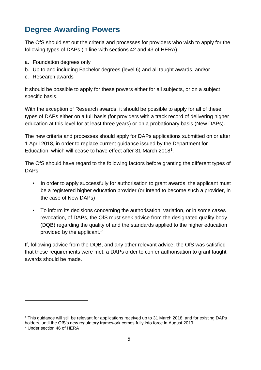# <span id="page-4-0"></span>**Degree Awarding Powers**

The OfS should set out the criteria and processes for providers who wish to apply for the following types of DAPs (in line with sections 42 and 43 of HERA):

- a. Foundation degrees only
- b. Up to and including Bachelor degrees (level 6) and all taught awards, and/or
- c. Research awards

It should be possible to apply for these powers either for all subjects, or on a subject specific basis.

With the exception of Research awards, it should be possible to apply for all of these types of DAPs either on a full basis (for providers with a track record of delivering higher education at this level for at least three years) or on a probationary basis (New DAPs).

The new criteria and processes should apply for DAPs applications submitted on or after 1 April 2018, in order to replace current guidance issued by the Department for Education, which will cease to have effect after 31 March 2018<sup>1</sup>.

The OfS should have regard to the following factors before granting the different types of DAPs:

- In order to apply successfully for authorisation to grant awards, the applicant must be a registered higher education provider (or intend to become such a provider, in the case of New DAPs)
- To inform its decisions concerning the authorisation, variation, or in some cases revocation, of DAPs, the OfS must seek advice from the designated quality body (DQB) regarding the quality of and the standards applied to the higher education provided by the applicant.<sup>2</sup>

If, following advice from the DQB, and any other relevant advice, the OfS was satisfied that these requirements were met, a DAPs order to confer authorisation to grant taught awards should be made.

1

<sup>1</sup> This guidance will still be relevant for applications received up to 31 March 2018, and for existing DAPs

holders, until the OfS's new regulatory framework comes fully into force in August 2019.

<sup>2</sup> Under section 46 of HERA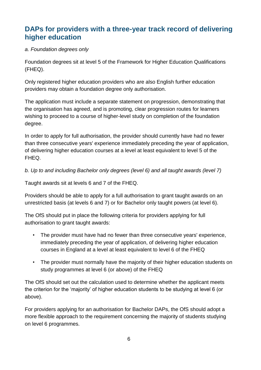## <span id="page-5-0"></span>**DAPs for providers with a three-year track record of delivering higher education**

#### *a. Foundation degrees only*

Foundation degrees sit at level 5 of the Framework for Higher Education Qualifications (FHEQ).

Only registered higher education providers who are also English further education providers may obtain a foundation degree only authorisation.

The application must include a separate statement on progression, demonstrating that the organisation has agreed, and is promoting, clear progression routes for learners wishing to proceed to a course of higher-level study on completion of the foundation degree.

In order to apply for full authorisation, the provider should currently have had no fewer than three consecutive years' experience immediately preceding the year of application, of delivering higher education courses at a level at least equivalent to level 5 of the FHEQ.

*b. Up to and including Bachelor only degrees (level 6) and all taught awards (level 7)*

Taught awards sit at levels 6 and 7 of the FHEQ.

Providers should be able to apply for a full authorisation to grant taught awards on an unrestricted basis (at levels 6 and 7) or for Bachelor only taught powers (at level 6).

The OfS should put in place the following criteria for providers applying for full authorisation to grant taught awards:

- The provider must have had no fewer than three consecutive years' experience, immediately preceding the year of application, of delivering higher education courses in England at a level at least equivalent to level 6 of the FHEQ
- The provider must normally have the majority of their higher education students on study programmes at level 6 (or above) of the FHEQ

The OfS should set out the calculation used to determine whether the applicant meets the criterion for the 'majority' of higher education students to be studying at level 6 (or above).

For providers applying for an authorisation for Bachelor DAPs, the OfS should adopt a more flexible approach to the requirement concerning the majority of students studying on level 6 programmes.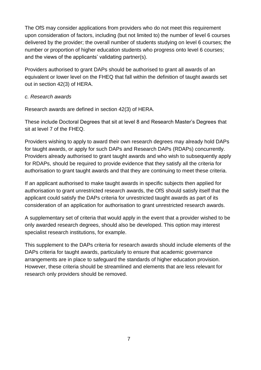The OfS may consider applications from providers who do not meet this requirement upon consideration of factors, including (but not limited to) the number of level 6 courses delivered by the provider; the overall number of students studying on level 6 courses; the number or proportion of higher education students who progress onto level 6 courses; and the views of the applicants' validating partner(s).

Providers authorised to grant DAPs should be authorised to grant all awards of an equivalent or lower level on the FHEQ that fall within the definition of taught awards set out in section 42(3) of HERA.

#### *c. Research awards*

Research awards are defined in section 42(3) of HERA.

These include Doctoral Degrees that sit at level 8 and Research Master's Degrees that sit at level 7 of the FHEQ.

Providers wishing to apply to award their own research degrees may already hold DAPs for taught awards, or apply for such DAPs and Research DAPs (RDAPs) concurrently. Providers already authorised to grant taught awards and who wish to subsequently apply for RDAPs, should be required to provide evidence that they satisfy all the criteria for authorisation to grant taught awards and that they are continuing to meet these criteria.

If an applicant authorised to make taught awards in specific subjects then applied for authorisation to grant unrestricted research awards, the OfS should satisfy itself that the applicant could satisfy the DAPs criteria for unrestricted taught awards as part of its consideration of an application for authorisation to grant unrestricted research awards.

A supplementary set of criteria that would apply in the event that a provider wished to be only awarded research degrees, should also be developed. This option may interest specialist research institutions, for example.

This supplement to the DAPs criteria for research awards should include elements of the DAPs criteria for taught awards, particularly to ensure that academic governance arrangements are in place to safeguard the standards of higher education provision. However, these criteria should be streamlined and elements that are less relevant for research only providers should be removed.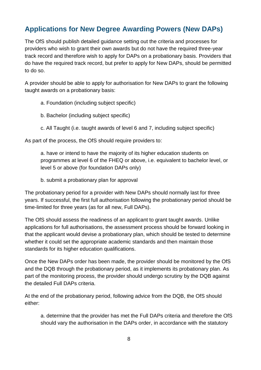## <span id="page-7-0"></span>**Applications for New Degree Awarding Powers (New DAPs)**

The OfS should publish detailed guidance setting out the criteria and processes for providers who wish to grant their own awards but do not have the required three-year track record and therefore wish to apply for DAPs on a probationary basis. Providers that do have the required track record, but prefer to apply for New DAPs, should be permitted to do so.

A provider should be able to apply for authorisation for New DAPs to grant the following taught awards on a probationary basis:

- a. Foundation (including subject specific)
- b. Bachelor (including subject specific)
- c. All Taught (i.e. taught awards of level 6 and 7, including subject specific)

As part of the process, the OfS should require providers to:

a. have or intend to have the majority of its higher education students on programmes at level 6 of the FHEQ or above, i.e. equivalent to bachelor level, or level 5 or above (for foundation DAPs only)

b. submit a probationary plan for approval

The probationary period for a provider with New DAPs should normally last for three years. If successful, the first full authorisation following the probationary period should be time-limited for three years (as for all new, Full DAPs).

The OfS should assess the readiness of an applicant to grant taught awards. Unlike applications for full authorisations, the assessment process should be forward looking in that the applicant would devise a probationary plan, which should be tested to determine whether it could set the appropriate academic standards and then maintain those standards for its higher education qualifications.

Once the New DAPs order has been made, the provider should be monitored by the OfS and the DQB through the probationary period, as it implements its probationary plan. As part of the monitoring process, the provider should undergo scrutiny by the DQB against the detailed Full DAPs criteria.

At the end of the probationary period, following advice from the DQB, the OfS should either:

a. determine that the provider has met the Full DAPs criteria and therefore the OfS should vary the authorisation in the DAPs order, in accordance with the statutory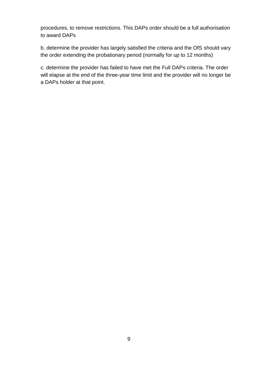procedures, to remove restrictions. This DAPs order should be a full authorisation to award DAPs

b. determine the provider has largely satisfied the criteria and the OfS should vary the order extending the probationary period (normally for up to 12 months)

c. determine the provider has failed to have met the Full DAPs criteria. The order will elapse at the end of the three-year time limit and the provider will no longer be a DAPs holder at that point.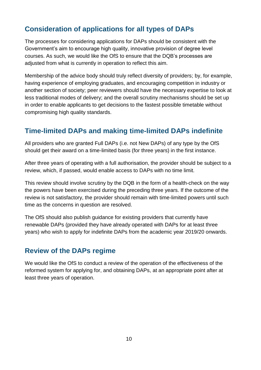## <span id="page-9-0"></span>**Consideration of applications for all types of DAPs**

The processes for considering applications for DAPs should be consistent with the Government's aim to encourage high quality, innovative provision of degree level courses. As such, we would like the OfS to ensure that the DQB's processes are adjusted from what is currently in operation to reflect this aim.

Membership of the advice body should truly reflect diversity of providers; by, for example, having experience of employing graduates, and encouraging competition in industry or another section of society; peer reviewers should have the necessary expertise to look at less traditional modes of delivery; and the overall scrutiny mechanisms should be set up in order to enable applicants to get decisions to the fastest possible timetable without compromising high quality standards.

## <span id="page-9-1"></span>**Time-limited DAPs and making time-limited DAPs indefinite**

All providers who are granted Full DAPs (i.e. not New DAPs) of any type by the OfS should get their award on a time-limited basis (for three years) in the first instance.

After three years of operating with a full authorisation, the provider should be subject to a review, which, if passed, would enable access to DAPs with no time limit.

This review should involve scrutiny by the DQB in the form of a health-check on the way the powers have been exercised during the preceding three years. If the outcome of the review is not satisfactory, the provider should remain with time-limited powers until such time as the concerns in question are resolved.

The OfS should also publish guidance for existing providers that currently have renewable DAPs (provided they have already operated with DAPs for at least three years) who wish to apply for indefinite DAPs from the academic year 2019/20 onwards.

## <span id="page-9-2"></span>**Review of the DAPs regime**

We would like the OfS to conduct a review of the operation of the effectiveness of the reformed system for applying for, and obtaining DAPs, at an appropriate point after at least three years of operation.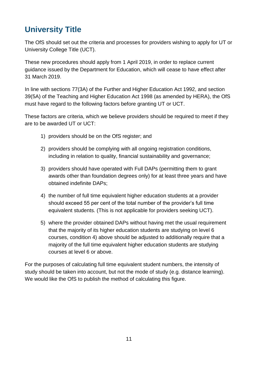# <span id="page-10-0"></span>**University Title**

The OfS should set out the criteria and processes for providers wishing to apply for UT or University College Title (UCT).

These new procedures should apply from 1 April 2019, in order to replace current guidance issued by the Department for Education, which will cease to have effect after 31 March 2019.

In line with sections 77(3A) of the Further and Higher Education Act 1992, and section 39(5A) of the Teaching and Higher Education Act 1998 (as amended by HERA), the OfS must have regard to the following factors before granting UT or UCT.

These factors are criteria, which we believe providers should be required to meet if they are to be awarded UT or UCT:

- 1) providers should be on the OfS register; and
- 2) providers should be complying with all ongoing registration conditions, including in relation to quality, financial sustainability and governance;
- 3) providers should have operated with Full DAPs (permitting them to grant awards other than foundation degrees only) for at least three years and have obtained indefinite DAPs;
- 4) the number of full time equivalent higher education students at a provider should exceed 55 per cent of the total number of the provider's full time equivalent students. (This is not applicable for providers seeking UCT).
- 5) where the provider obtained DAPs without having met the usual requirement that the majority of its higher education students are studying on level 6 courses, condition 4) above should be adjusted to additionally require that a majority of the full time equivalent higher education students are studying courses at level 6 or above.

For the purposes of calculating full time equivalent student numbers, the intensity of study should be taken into account, but not the mode of study (e.g. distance learning). We would like the OfS to publish the method of calculating this figure.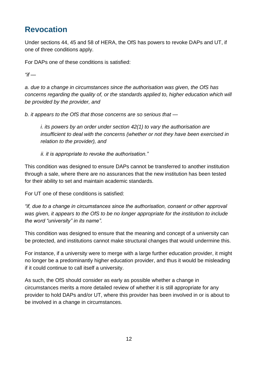# <span id="page-11-0"></span>**Revocation**

Under sections 44, 45 and 58 of HERA, the OfS has powers to revoke DAPs and UT, if one of three conditions apply.

For DAPs one of these conditions is satisfied:

*"if —*

*a. due to a change in circumstances since the authorisation was given, the OfS has concerns regarding the quality of, or the standards applied to, higher education which will be provided by the provider, and* 

*b. it appears to the OfS that those concerns are so serious that —*

*i. its powers by an order under section 42(1) to vary the authorisation are insufficient to deal with the concerns (whether or not they have been exercised in relation to the provider), and* 

*ii. it is appropriate to revoke the authorisation."* 

This condition was designed to ensure DAPs cannot be transferred to another institution through a sale, where there are no assurances that the new institution has been tested for their ability to set and maintain academic standards.

For UT one of these conditions is satisfied:

*"if, due to a change in circumstances since the authorisation, consent or other approval was given, it appears to the OfS to be no longer appropriate for the institution to include the word "university" in its name".*

This condition was designed to ensure that the meaning and concept of a university can be protected, and institutions cannot make structural changes that would undermine this.

For instance, if a university were to merge with a large further education provider, it might no longer be a predominantly higher education provider, and thus it would be misleading if it could continue to call itself a university.

As such, the OfS should consider as early as possible whether a change in circumstances merits a more detailed review of whether it is still appropriate for any provider to hold DAPs and/or UT, where this provider has been involved in or is about to be involved in a change in circumstances.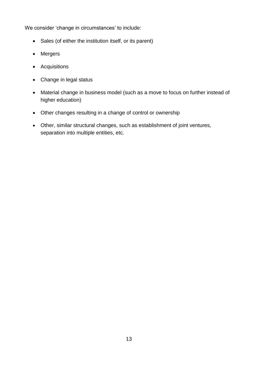We consider 'change in circumstances' to include:

- Sales (of either the institution itself, or its parent)
- Mergers
- Acquisitions
- Change in legal status
- Material change in business model (such as a move to focus on further instead of higher education)
- Other changes resulting in a change of control or ownership
- Other, similar structural changes, such as establishment of joint ventures, separation into multiple entities, etc.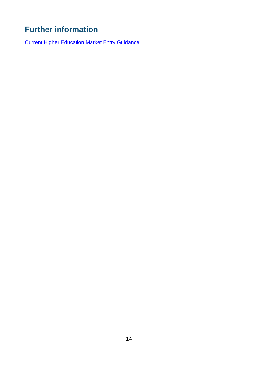# <span id="page-13-0"></span>**Further information**

[Current Higher Education Market Entry Guidance](https://www.gov.uk/government/collections/higher-education-market-entry-guidance)